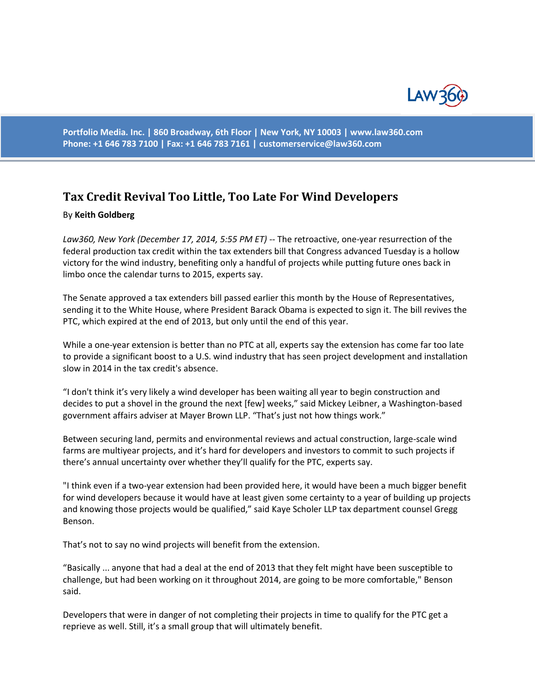

**Portfolio Media. Inc. | 860 Broadway, 6th Floor | New York, NY 10003 | www.law360.com Phone: +1 646 783 7100 | Fax: +1 646 783 7161 | [customerservice@law360.com](mailto:customerservice@law360.com)**

## **Tax Credit Revival Too Little, Too Late For Wind Developers**

## By **Keith Goldberg**

*Law360, New York (December 17, 2014, 5:55 PM ET)* -- The retroactive, one-year resurrection of the federal production tax credit within the tax extenders bill that Congress advanced Tuesday is a hollow victory for the wind industry, benefiting only a handful of projects while putting future ones back in limbo once the calendar turns to 2015, experts say.

The Senate approved a tax extenders bill passed earlier this month by the House of Representatives, sending it to the White House, where President Barack Obama is expected to sign it. The bill revives the PTC, which expired at the end of 2013, but only until the end of this year.

While a one-year extension is better than no PTC at all, experts say the extension has come far too late to provide a significant boost to a U.S. wind industry that has seen project development and installation slow in 2014 in the tax credit's absence.

"I don't think it's very likely a wind developer has been waiting all year to begin construction and decides to put a shovel in the ground the next [few] weeks," said Mickey Leibner, a Washington-based government affairs adviser at Mayer Brown LLP. "That's just not how things work."

Between securing land, permits and environmental reviews and actual construction, large-scale wind farms are multiyear projects, and it's hard for developers and investors to commit to such projects if there's annual uncertainty over whether they'll qualify for the PTC, experts say.

"I think even if a two-year extension had been provided here, it would have been a much bigger benefit for wind developers because it would have at least given some certainty to a year of building up projects and knowing those projects would be qualified," said Kaye Scholer LLP tax department counsel Gregg Benson.

That's not to say no wind projects will benefit from the extension.

"Basically ... anyone that had a deal at the end of 2013 that they felt might have been susceptible to challenge, but had been working on it throughout 2014, are going to be more comfortable," Benson said.

Developers that were in danger of not completing their projects in time to qualify for the PTC get a reprieve as well. Still, it's a small group that will ultimately benefit.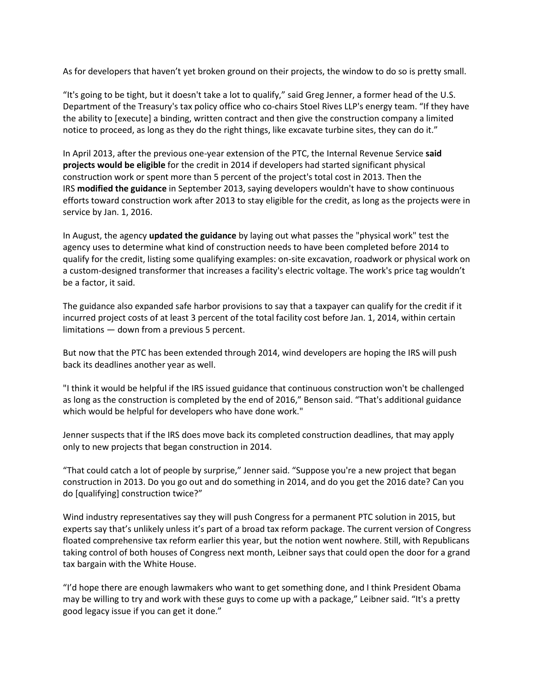As for developers that haven't yet broken ground on their projects, the window to do so is pretty small.

"It's going to be tight, but it doesn't take a lot to qualify," said Greg Jenner, a former head of the U.S. Department of the Treasury's tax policy office who co-chairs Stoel Rives LLP's energy team. "If they have the ability to [execute] a binding, written contract and then give the construction company a limited notice to proceed, as long as they do the right things, like excavate turbine sites, they can do it."

In April 2013, after the previous one-year extension of the PTC, the Internal Revenue Service **said projects would be eligible** for the credit in 2014 if developers had started significant physical construction work or spent more than 5 percent of the project's total cost in 2013. Then the IRS **modified the guidance** in September 2013, saying developers wouldn't have to show continuous efforts toward construction work after 2013 to stay eligible for the credit, as long as the projects were in service by Jan. 1, 2016.

In August, the agency **updated the guidance** by laying out what passes the "physical work" test the agency uses to determine what kind of construction needs to have been completed before 2014 to qualify for the credit, listing some qualifying examples: on-site excavation, roadwork or physical work on a custom-designed transformer that increases a facility's electric voltage. The work's price tag wouldn't be a factor, it said.

The guidance also expanded safe harbor provisions to say that a taxpayer can qualify for the credit if it incurred project costs of at least 3 percent of the total facility cost before Jan. 1, 2014, within certain limitations — down from a previous 5 percent.

But now that the PTC has been extended through 2014, wind developers are hoping the IRS will push back its deadlines another year as well.

"I think it would be helpful if the IRS issued guidance that continuous construction won't be challenged as long as the construction is completed by the end of 2016," Benson said. "That's additional guidance which would be helpful for developers who have done work."

Jenner suspects that if the IRS does move back its completed construction deadlines, that may apply only to new projects that began construction in 2014.

"That could catch a lot of people by surprise," Jenner said. "Suppose you're a new project that began construction in 2013. Do you go out and do something in 2014, and do you get the 2016 date? Can you do [qualifying] construction twice?"

Wind industry representatives say they will push Congress for a permanent PTC solution in 2015, but experts say that's unlikely unless it's part of a broad tax reform package. The current version of Congress floated comprehensive tax reform earlier this year, but the notion went nowhere. Still, with Republicans taking control of both houses of Congress next month, Leibner says that could open the door for a grand tax bargain with the White House.

"I'd hope there are enough lawmakers who want to get something done, and I think President Obama may be willing to try and work with these guys to come up with a package," Leibner said. "It's a pretty good legacy issue if you can get it done."